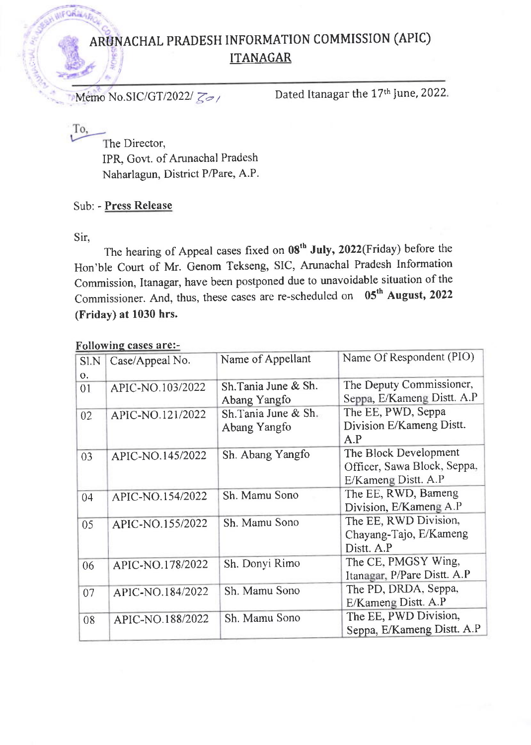## ARUNACHAL PRADESH INFORMATION COMMISSION (APIC) ITANAGAR

Memo No.SIC/GT/2022/ $\zeta$ 

To,

**INFORMA** 

The Director, IPR, Govt. of Arunachal Pradesh Naharlagun, District P/Pare, A.P.

Sub: - Press Release

Sir,

The hearing of Appeal cases fixed on 08<sup>th</sup> July, 2022(Friday) before the Hon'ble court of Mr. Genom Tekseng, SIC, Arunachal Pradesh Information Commission, Itanagar, have been postponed due to unavoidable situation of the Commissioner. And, thus, these cases are re-scheduled on 05<sup>th</sup> August, 2022 (Friday) at 1030 hrs.

## Followine cases are:-

| Sl.N | Case/Appeal No.  | Name of Appellant    | Name Of Respondent (PIO)    |
|------|------------------|----------------------|-----------------------------|
| 0.   |                  |                      |                             |
| 01   | APIC-NO.103/2022 | Sh. Tania June & Sh. | The Deputy Commissioner,    |
|      |                  | Abang Yangfo         | Seppa, E/Kameng Distt. A.P  |
| 02   | APIC-NO.121/2022 | Sh.Tania June & Sh.  | The EE, PWD, Seppa          |
|      |                  | Abang Yangfo         | Division E/Kameng Distt.    |
|      |                  |                      | A.P                         |
| 03   | APIC-NO.145/2022 | Sh. Abang Yangfo     | The Block Development       |
|      |                  |                      | Officer, Sawa Block, Seppa, |
|      |                  |                      | E/Kameng Distt. A.P         |
| 04   | APIC-NO.154/2022 | Sh. Mamu Sono        | The EE, RWD, Bameng         |
|      |                  |                      | Division, E/Kameng A.P      |
| 05   | APIC-NO.155/2022 | Sh. Mamu Sono        | The EE, RWD Division,       |
|      |                  |                      | Chayang-Tajo, E/Kameng      |
|      |                  |                      | Distt. A.P                  |
| 06   | APIC-NO.178/2022 | Sh. Donyi Rimo       | The CE, PMGSY Wing,         |
|      |                  |                      | Itanagar, P/Pare Distt. A.P |
| 07   | APIC-NO.184/2022 | Sh. Mamu Sono        | The PD, DRDA, Seppa,        |
|      |                  |                      | E/Kameng Distt. A.P         |
| 08   | APIC-NO.188/2022 | Sh. Mamu Sono        | The EE, PWD Division,       |
|      |                  |                      | Seppa, E/Kameng Distt. A.P  |